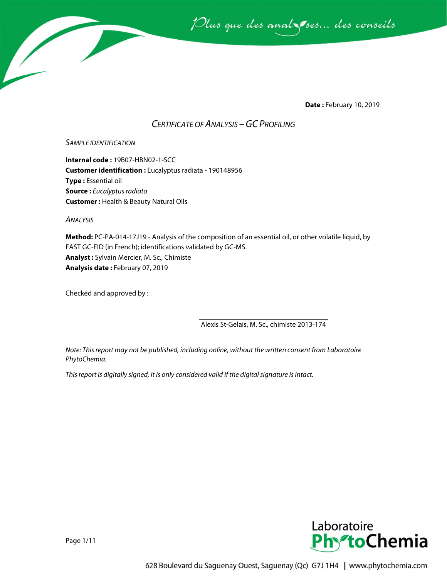

**Date :** February 10, 2019

### *CERTIFICATE OF ANALYSIS –GC PROFILING*

#### *SAMPLE IDENTIFICATION*

**Internal code :** 19B07-HBN02-1-SCC **Customer identification :** Eucalyptus radiata - 190148956 **Type :** Essential oil **Source :** *Eucalyptus radiata* **Customer :** Health & Beauty Natural Oils

*ANALYSIS*

**Method:** PC-PA-014-17J19 - Analysis of the composition of an essential oil, or other volatile liquid, by FAST GC-FID (in French); identifications validated by GC-MS. **Analyst :** Sylvain Mercier, M. Sc., Chimiste **Analysis date :** February 07, 2019

Checked and approved by :

Alexis St-Gelais, M. Sc., chimiste 2013-174

*Note: This report may not be published, including online, without the written consent from Laboratoire PhytoChemia.*

*This report is digitally signed, it is only considered valid if the digital signature is intact.*



Page 1/11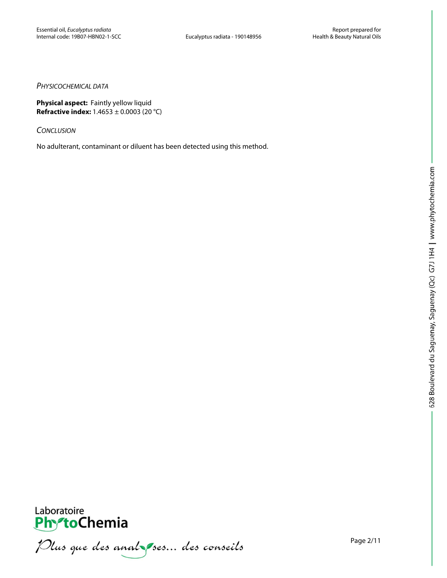#### *PHYSICOCHEMICAL DATA*

**Physical aspect:** Faintly yellow liquid **Refractive index:** 1.4653 ± 0.0003 (20 °C)

*CONCLUSION*

No adulterant, contaminant or diluent has been detected using this method.



**PhytoChemia**<br>*PhytoChemia*<br>*Plus que des analyses... des conseils*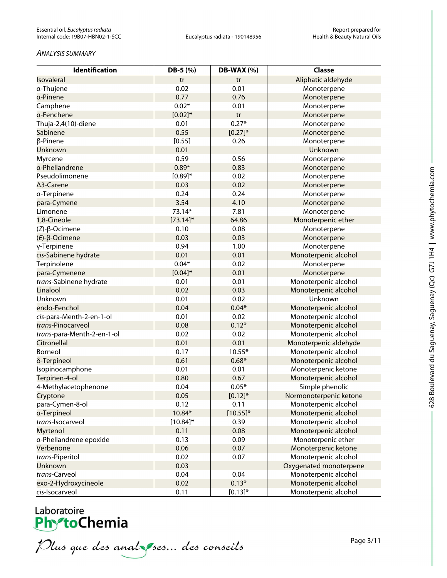#### *ANALYSIS SUMMARY*

| Identification             | DB-5 (%)     | <b>DB-WAX (%)</b> | <b>Classe</b>          |
|----------------------------|--------------|-------------------|------------------------|
| Isovaleral                 | tr           | tr                | Aliphatic aldehyde     |
| a-Thujene                  | 0.02         | 0.01              | Monoterpene            |
| a-Pinene                   | 0.77         | 0.76              | Monoterpene            |
| Camphene                   | $0.02*$      | 0.01              | Monoterpene            |
| a-Fenchene                 | $[0.02]*$    | tr                | Monoterpene            |
| Thuja-2,4(10)-diene        | 0.01         | $0.27*$           | Monoterpene            |
| Sabinene                   | 0.55         | $[0.27]^{*}$      | Monoterpene            |
| β-Pinene                   | [0.55]       | 0.26              | Monoterpene            |
| Unknown                    | 0.01         |                   | Unknown                |
| Myrcene                    | 0.59         | 0.56              | Monoterpene            |
| a-Phellandrene             | $0.89*$      | 0.83              | Monoterpene            |
| Pseudolimonene             | $[0.89]^{*}$ | 0.02              | Monoterpene            |
| ∆3-Carene                  | 0.03         | 0.02              | Monoterpene            |
| a-Terpinene                | 0.24         | 0.24              | Monoterpene            |
| para-Cymene                | 3.54         | 4.10              | Monoterpene            |
| Limonene                   | 73.14*       | 7.81              | Monoterpene            |
| 1,8-Cineole                | $[73.14]$ *  | 64.86             | Monoterpenic ether     |
| $(Z)-\beta$ -Ocimene       | 0.10         | 0.08              | Monoterpene            |
| $(E)$ -β-Ocimene           | 0.03         | 0.03              | Monoterpene            |
| γ-Terpinene                | 0.94         | 1.00              | Monoterpene            |
| cis-Sabinene hydrate       | 0.01         | 0.01              | Monoterpenic alcohol   |
| Terpinolene                | $0.04*$      | 0.02              | Monoterpene            |
| para-Cymenene              | $[0.04]*$    | 0.01              | Monoterpene            |
| trans-Sabinene hydrate     | 0.01         | 0.01              | Monoterpenic alcohol   |
| Linalool                   | 0.02         | 0.03              | Monoterpenic alcohol   |
| Unknown                    | 0.01         | 0.02              | Unknown                |
| endo-Fenchol               | 0.04         | $0.04*$           | Monoterpenic alcohol   |
| cis-para-Menth-2-en-1-ol   | 0.01         | 0.02              | Monoterpenic alcohol   |
| trans-Pinocarveol          | 0.08         | $0.12*$           | Monoterpenic alcohol   |
| trans-para-Menth-2-en-1-ol | 0.02         | 0.02              | Monoterpenic alcohol   |
| Citronellal                | 0.01         | 0.01              | Monoterpenic aldehyde  |
| Borneol                    | 0.17         | $10.55*$          | Monoterpenic alcohol   |
| δ-Terpineol                | 0.61         | $0.68*$           | Monoterpenic alcohol   |
| Isopinocamphone            | 0.01         | 0.01              | Monoterpenic ketone    |
| Terpinen-4-ol              | 0.80         | 0.67              | Monoterpenic alcohol   |
| 4-Methylacetophenone       | 0.04         | $0.05*$           | Simple phenolic        |
| Cryptone                   | 0.05         | $[0.12]$ *        | Normonoterpenic ketone |
| para-Cymen-8-ol            | 0.12         | 0.11              | Monoterpenic alcohol   |
| a-Terpineol                | 10.84*       | $[10.55]^{*}$     | Monoterpenic alcohol   |
| trans-Isocarveol           | $[10.84]$ *  | 0.39              | Monoterpenic alcohol   |
| Myrtenol                   | 0.11         | 0.08              | Monoterpenic alcohol   |
| a-Phellandrene epoxide     | 0.13         | 0.09              | Monoterpenic ether     |
| Verbenone                  | 0.06         | 0.07              | Monoterpenic ketone    |
| trans-Piperitol            | 0.02         | 0.07              | Monoterpenic alcohol   |
| Unknown                    | 0.03         |                   | Oxygenated monoterpene |
| trans-Carveol              | 0.04         | 0.04              | Monoterpenic alcohol   |
| exo-2-Hydroxycineole       | 0.02         | $0.13*$           | Monoterpenic alcohol   |
| cis-Isocarveol             | 0.11         | $[0.13]$ *        | Monoterpenic alcohol   |

Laboratoire<br>**PhytoChemia**<br>*Plus que des anal ses... des conseils*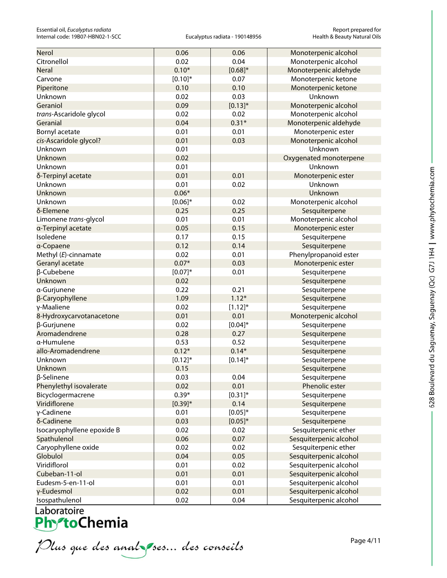| Nerol                      | 0.06         | 0.06         | Monoterpenic alcohol   |
|----------------------------|--------------|--------------|------------------------|
| Citronellol                | 0.02         | 0.04         | Monoterpenic alcohol   |
| <b>Neral</b>               | $0.10*$      | $[0.68]^{*}$ | Monoterpenic aldehyde  |
| Carvone                    | $[0.10]$ *   | 0.07         | Monoterpenic ketone    |
| Piperitone                 | 0.10         | 0.10         | Monoterpenic ketone    |
| Unknown                    | 0.02         | 0.03         | Unknown                |
| Geraniol                   | 0.09         | $[0.13]^{*}$ | Monoterpenic alcohol   |
| trans-Ascaridole glycol    | 0.02         | 0.02         | Monoterpenic alcohol   |
| Geranial                   | 0.04         | $0.31*$      | Monoterpenic aldehyde  |
| Bornyl acetate             | 0.01         | 0.01         | Monoterpenic ester     |
| cis-Ascaridole glycol?     | 0.01         | 0.03         | Monoterpenic alcohol   |
| Unknown                    | 0.01         |              | Unknown                |
| Unknown                    | 0.02         |              | Oxygenated monoterpene |
| Unknown                    | 0.01         |              | Unknown                |
| δ-Terpinyl acetate         | 0.01         | 0.01         | Monoterpenic ester     |
| Unknown                    | 0.01         | 0.02         | Unknown                |
| Unknown                    | $0.06*$      |              | Unknown                |
| Unknown                    | $[0.06]$ *   | 0.02         | Monoterpenic alcohol   |
| δ-Elemene                  | 0.25         | 0.25         | Sesquiterpene          |
| Limonene trans-glycol      | 0.01         | 0.01         | Monoterpenic alcohol   |
| a-Terpinyl acetate         | 0.05         | 0.15         | Monoterpenic ester     |
| Isoledene                  | 0.17         | 0.15         | Sesquiterpene          |
| a-Copaene                  | 0.12         | 0.14         | Sesquiterpene          |
| Methyl (E)-cinnamate       | 0.02         | 0.01         | Phenylpropanoid ester  |
| Geranyl acetate            | $0.07*$      | 0.03         | Monoterpenic ester     |
| β-Cubebene                 | $[0.07]^{*}$ | 0.01         | Sesquiterpene          |
| Unknown                    | 0.02         |              | Sesquiterpene          |
| a-Gurjunene                | 0.22         | 0.21         | Sesquiterpene          |
| β-Caryophyllene            | 1.09         | $1.12*$      | Sesquiterpene          |
| γ-Maaliene                 | 0.02         | $[1.12]$ *   | Sesquiterpene          |
| 8-Hydroxycarvotanacetone   | 0.01         | 0.01         | Monoterpenic alcohol   |
| β-Gurjunene                | 0.02         | $[0.04]$ *   | Sesquiterpene          |
| Aromadendrene              | 0.28         | 0.27         | Sesquiterpene          |
| a-Humulene                 | 0.53         | 0.52         | Sesquiterpene          |
| allo-Aromadendrene         | $0.12*$      | $0.14*$      | Sesquiterpene          |
| Unknown                    | $[0.12]$ *   | $[0.14]$ *   | Sesquiterpene          |
| Unknown                    | 0.15         |              | Sesquiterpene          |
| β-Selinene                 | 0.03         | 0.04         | Sesquiterpene          |
| Phenylethyl isovalerate    | 0.02         | 0.01         | Phenolic ester         |
| Bicyclogermacrene          | $0.39*$      | $[0.31]$ *   | Sesquiterpene          |
| Viridiflorene              | $[0.39]^{*}$ | 0.14         | Sesquiterpene          |
| γ-Cadinene                 | 0.01         | $[0.05]^{*}$ | Sesquiterpene          |
| δ-Cadinene                 | 0.03         | $[0.05]$ *   | Sesquiterpene          |
| Isocaryophyllene epoxide B | 0.02         | 0.02         | Sesquiterpenic ether   |
| Spathulenol                | 0.06         | 0.07         | Sesquiterpenic alcohol |
| Caryophyllene oxide        | 0.02         | 0.02         | Sesquiterpenic ether   |
| Globulol                   | 0.04         | 0.05         | Sesquiterpenic alcohol |
| Viridiflorol               | 0.01         | 0.02         | Sesquiterpenic alcohol |
| Cubeban-11-ol              | 0.01         | 0.01         | Sesquiterpenic alcohol |
| Eudesm-5-en-11-ol          | 0.01         | 0.01         | Sesquiterpenic alcohol |
| y-Eudesmol                 | 0.02         | 0.01         | Sesquiterpenic alcohol |
| Isospathulenol             | 0.02         | 0.04         | Sesquiterpenic alcohol |

Isospannichs<br> **PhytoChemia**<br>
Plus que des analyses... des conseils

Page 4/11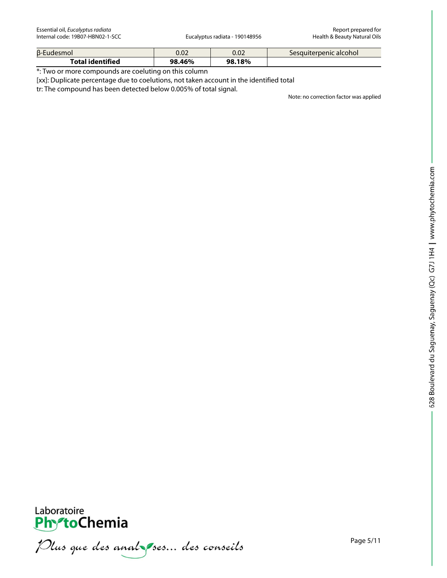| β-Eudesmol              | 0.02   | 0.02   | Sesquiterpenic alcohol |
|-------------------------|--------|--------|------------------------|
| <b>Total identified</b> | 98.46% | 98.18% |                        |

\*: Two or more compounds are coeluting on this column

[xx]: Duplicate percentage due to coelutions, not taken account in the identified total

tr: The compound has been detected below 0.005% of total signal.

Note: no correction factor was applied



Plus que des analzes... des conseils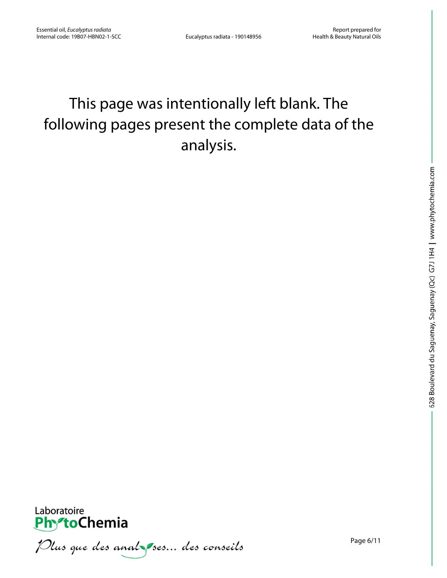## This page was intentionally left blank. The following pages present the complete data of the analysis.



Plus que des analzes... des conseils

Page 6/11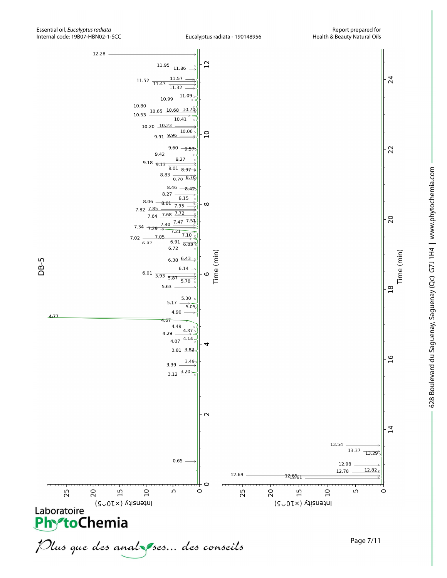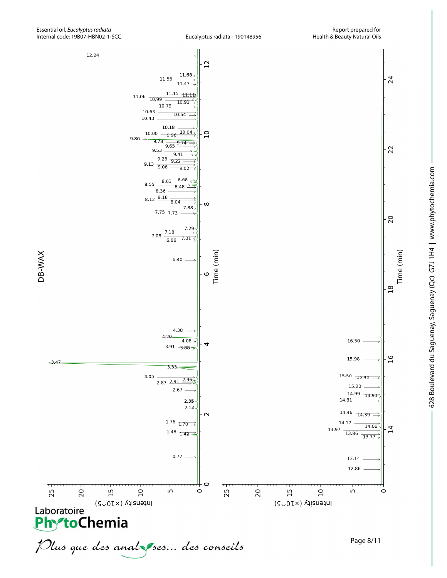

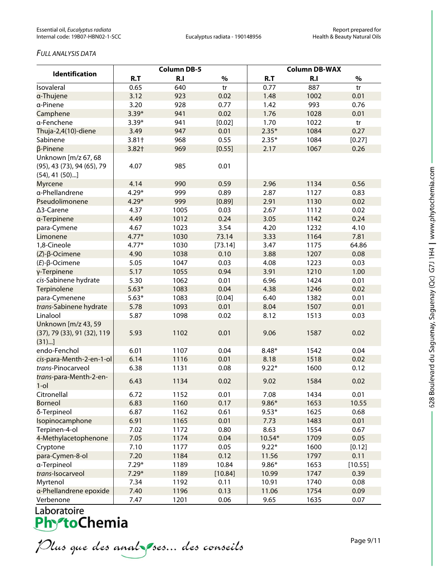#### *FULL ANALYSIS DATA*

| <b>Identification</b>                                                     | <b>Column DB-5</b> |      |         | <b>Column DB-WAX</b> |      |         |  |
|---------------------------------------------------------------------------|--------------------|------|---------|----------------------|------|---------|--|
|                                                                           | R.T                | R.I  | $\%$    | R.T                  | R.I  | $\%$    |  |
| Isovaleral                                                                | 0.65               | 640  | tr      | 0.77                 | 887  | tr      |  |
| a-Thujene                                                                 | 3.12               | 923  | 0.02    | 1.48                 | 1002 | 0.01    |  |
| a-Pinene                                                                  | 3.20               | 928  | 0.77    | 1.42                 | 993  | 0.76    |  |
| Camphene                                                                  | $3.39*$            | 941  | 0.02    | 1.76                 | 1028 | 0.01    |  |
| a-Fenchene                                                                | $3.39*$            | 941  | [0.02]  | 1.70                 | 1022 | tr      |  |
| Thuja-2,4(10)-diene                                                       | 3.49               | 947  | 0.01    | $2.35*$              | 1084 | 0.27    |  |
| Sabinene                                                                  | $3.81+$            | 968  | 0.55    | $2.35*$              | 1084 | [0.27]  |  |
| $\beta$ -Pinene                                                           | $3.82+$            | 969  | [0.55]  | 2.17                 | 1067 | 0.26    |  |
| Unknown [m/z 67, 68<br>(95), 43 (73), 94 (65), 79<br>$(54)$ , 41 $(50)$ ] | 4.07               | 985  | 0.01    |                      |      |         |  |
| <b>Myrcene</b>                                                            | 4.14               | 990  | 0.59    | 2.96                 | 1134 | 0.56    |  |
| a-Phellandrene                                                            | $4.29*$            | 999  | 0.89    | 2.87                 | 1127 | 0.83    |  |
| Pseudolimonene                                                            | $4.29*$            | 999  | [0.89]  | 2.91                 | 1130 | 0.02    |  |
| ∆3-Carene                                                                 | 4.37               | 1005 | 0.03    | 2.67                 | 1112 | 0.02    |  |
| a-Terpinene                                                               | 4.49               | 1012 | 0.24    | 3.05                 | 1142 | 0.24    |  |
| para-Cymene                                                               | 4.67               | 1023 | 3.54    | 4.20                 | 1232 | 4.10    |  |
| Limonene                                                                  | $4.77*$            | 1030 | 73.14   | 3.33                 | 1164 | 7.81    |  |
| 1,8-Cineole                                                               | $4.77*$            | 1030 | [73.14] | 3.47                 | 1175 | 64.86   |  |
| $(Z)$ - $\beta$ -Ocimene                                                  | 4.90               | 1038 | 0.10    | 3.88                 | 1207 | 0.08    |  |
| $(E)$ -β-Ocimene                                                          | 5.05               | 1047 | 0.03    | 4.08                 | 1223 | 0.03    |  |
| γ-Terpinene                                                               | 5.17               | 1055 | 0.94    | 3.91                 | 1210 | 1.00    |  |
| cis-Sabinene hydrate                                                      | 5.30               | 1062 | 0.01    | 6.96                 | 1424 | 0.01    |  |
| Terpinolene                                                               | $5.63*$            | 1083 | 0.04    | 4.38                 | 1246 | 0.02    |  |
| para-Cymenene                                                             | $5.63*$            | 1083 | [0.04]  | 6.40                 | 1382 | 0.01    |  |
| trans-Sabinene hydrate                                                    | 5.78               | 1093 | 0.01    | 8.04                 | 1507 | 0.01    |  |
| Linalool                                                                  | 5.87               | 1098 | 0.02    | 8.12                 | 1513 | 0.03    |  |
| Unknown [m/z 43, 59<br>(37), 79 (33), 91 (32), 119<br>(31)                | 5.93               | 1102 | 0.01    | 9.06                 | 1587 | 0.02    |  |
| endo-Fenchol                                                              | 6.01               | 1107 | 0.04    | $8.48*$              | 1542 | 0.04    |  |
| cis-para-Menth-2-en-1-ol                                                  | 6.14               | 1116 | 0.01    | 8.18                 | 1518 | 0.02    |  |
| trans-Pinocarveol                                                         | 6.38               | 1131 | 0.08    | $9.22*$              | 1600 | 0.12    |  |
| trans-para-Menth-2-en-<br>$1$ -ol                                         | 6.43               | 1134 | 0.02    | 9.02                 | 1584 | 0.02    |  |
| Citronellal                                                               | 6.72               | 1152 | 0.01    | 7.08                 | 1434 | 0.01    |  |
| <b>Borneol</b>                                                            | 6.83               | 1160 | 0.17    | $9.86*$              | 1653 | 10.55   |  |
| δ-Terpineol                                                               | 6.87               | 1162 | 0.61    | $9.53*$              | 1625 | 0.68    |  |
| Isopinocamphone                                                           | 6.91               | 1165 | 0.01    | 7.73                 | 1483 | 0.01    |  |
| Terpinen-4-ol                                                             | 7.02               | 1172 | 0.80    | 8.63                 | 1554 | 0.67    |  |
| 4-Methylacetophenone                                                      | 7.05               | 1174 | 0.04    | 10.54*               | 1709 | 0.05    |  |
| Cryptone                                                                  | 7.10               | 1177 | 0.05    | $9.22*$              | 1600 | [0.12]  |  |
| para-Cymen-8-ol                                                           | 7.20               | 1184 | 0.12    | 11.56                | 1797 | 0.11    |  |
| a-Terpineol                                                               | $7.29*$            | 1189 | 10.84   | $9.86*$              | 1653 | [10.55] |  |
| trans-Isocarveol                                                          | $7.29*$            | 1189 | [10.84] | 10.99                | 1747 | 0.39    |  |
| Myrtenol                                                                  | 7.34               | 1192 | 0.11    | 10.91                | 1740 | 0.08    |  |
| a-Phellandrene epoxide                                                    | 7.40               | 1196 | 0.13    | 11.06                | 1754 | 0.09    |  |
| Verbenone                                                                 | 7.47               | 1201 | 0.06    | 9.65                 | 1635 | 0.07    |  |

# Laboratoire<br>**Phy<sup>s</sup>toChemia**

Plus que des analzes... des conseils

Page 9/11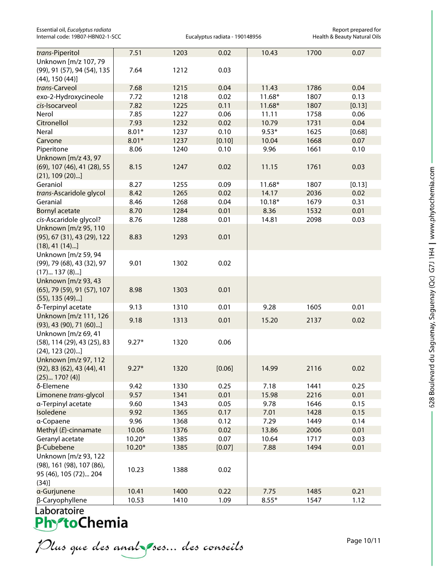| Essential oil, Eucalyptus radiata |
|-----------------------------------|
| Internal code: 19B07-HBN02-1-SCC  |

Eucalyptus radiata - 190148956

Essential oil, *Eucalyptus radiata* Report prepared for

| trans-Piperitol                                                                     | 7.51     | 1203 | 0.02   | 10.43    | 1700 | 0.07   |
|-------------------------------------------------------------------------------------|----------|------|--------|----------|------|--------|
| Unknown [m/z 107, 79                                                                |          |      |        |          |      |        |
| (99), 91 (57), 94 (54), 135<br>$(44)$ , 150 $(44)$ ]                                | 7.64     | 1212 | 0.03   |          |      |        |
| trans-Carveol                                                                       | 7.68     | 1215 | 0.04   | 11.43    | 1786 | 0.04   |
| exo-2-Hydroxycineole                                                                | 7.72     | 1218 | 0.02   | $11.68*$ | 1807 | 0.13   |
| cis-Isocarveol                                                                      | 7.82     | 1225 | 0.11   | $11.68*$ | 1807 | [0.13] |
| Nerol                                                                               | 7.85     | 1227 | 0.06   | 11.11    | 1758 | 0.06   |
| Citronellol                                                                         | 7.93     | 1232 | 0.02   | 10.79    | 1731 | 0.04   |
| Neral                                                                               | $8.01*$  | 1237 | 0.10   | $9.53*$  | 1625 | [0.68] |
| Carvone                                                                             | $8.01*$  | 1237 | [0.10] | 10.04    | 1668 | 0.07   |
| Piperitone                                                                          | 8.06     | 1240 | 0.10   | 9.96     | 1661 | 0.10   |
| Unknown [m/z 43, 97                                                                 |          |      |        |          |      |        |
| (69), 107 (46), 41 (28), 55<br>$(21)$ , 109 $(20)$ ]                                | 8.15     | 1247 | 0.02   | 11.15    | 1761 | 0.03   |
| Geraniol                                                                            | 8.27     | 1255 | 0.09   | $11.68*$ | 1807 | [0.13] |
| trans-Ascaridole glycol                                                             | 8.42     | 1265 | 0.02   | 14.17    | 2036 | 0.02   |
| Geranial                                                                            | 8.46     | 1268 | 0.04   | $10.18*$ | 1679 | 0.31   |
| <b>Bornyl acetate</b>                                                               | 8.70     | 1284 | 0.01   | 8.36     | 1532 | 0.01   |
| cis-Ascaridole glycol?                                                              | 8.76     | 1288 | 0.01   | 14.81    | 2098 | 0.03   |
| Unknown [m/z 95, 110<br>(95), 67 (31), 43 (29), 122<br>$(18), 41(14)$ ]             | 8.83     | 1293 | 0.01   |          |      |        |
| Unknown [m/z 59, 94<br>(99), 79 (68), 43 (32), 97<br>$(17) 137 (8)$ ]               | 9.01     | 1302 | 0.02   |          |      |        |
| Unknown [m/z 93, 43<br>(65), 79 (59), 91 (57), 107<br>$(55)$ , 135 $(49)$ ]         | 8.98     | 1303 | 0.01   |          |      |        |
| δ-Terpinyl acetate                                                                  | 9.13     | 1310 | 0.01   | 9.28     | 1605 | 0.01   |
| Unknown [m/z 111, 126<br>$(93)$ , 43 $(90)$ , 71 $(60)$ ]                           | 9.18     | 1313 | 0.01   | 15.20    | 2137 | 0.02   |
| Unknown [m/z 69, 41<br>(58), 114 (29), 43 (25), 83<br>$(24)$ , 123 $(20)$ ]         | $9.27*$  | 1320 | 0.06   |          |      |        |
| Unknown [m/z 97, 112<br>(92), 83 (62), 43 (44), 41<br>(25) 170? (4)]                | $9.27*$  | 1320 | [0.06] | 14.99    | 2116 | 0.02   |
| δ-Elemene                                                                           | 9.42     | 1330 | 0.25   | 7.18     | 1441 | 0.25   |
| Limonene trans-glycol                                                               | 9.57     | 1341 | 0.01   | 15.98    | 2216 | 0.01   |
| a-Terpinyl acetate                                                                  | 9.60     | 1343 | 0.05   | 9.78     | 1646 | 0.15   |
| Isoledene                                                                           | 9.92     | 1365 | 0.17   | 7.01     | 1428 | 0.15   |
| a-Copaene                                                                           | 9.96     | 1368 | 0.12   | 7.29     | 1449 | 0.14   |
| Methyl (E)-cinnamate                                                                | 10.06    | 1376 | 0.02   | 13.86    | 2006 | 0.01   |
| Geranyl acetate                                                                     | $10.20*$ | 1385 | 0.07   | 10.64    | 1717 | 0.03   |
| β-Cubebene                                                                          | $10.20*$ | 1385 | [0.07] | 7.88     | 1494 | 0.01   |
| Unknown [m/z 93, 122<br>(98), 161 (98), 107 (86),<br>95 (46), 105 (72) 204<br>(34)] | 10.23    | 1388 | 0.02   |          |      |        |
| a-Gurjunene                                                                         | 10.41    | 1400 | 0.22   | 7.75     | 1485 | 0.21   |
| β-Caryophyllene                                                                     | 10.53    | 1410 | 1.09   | $8.55*$  | 1547 | 1.12   |

Plus que des analzes... des conseils